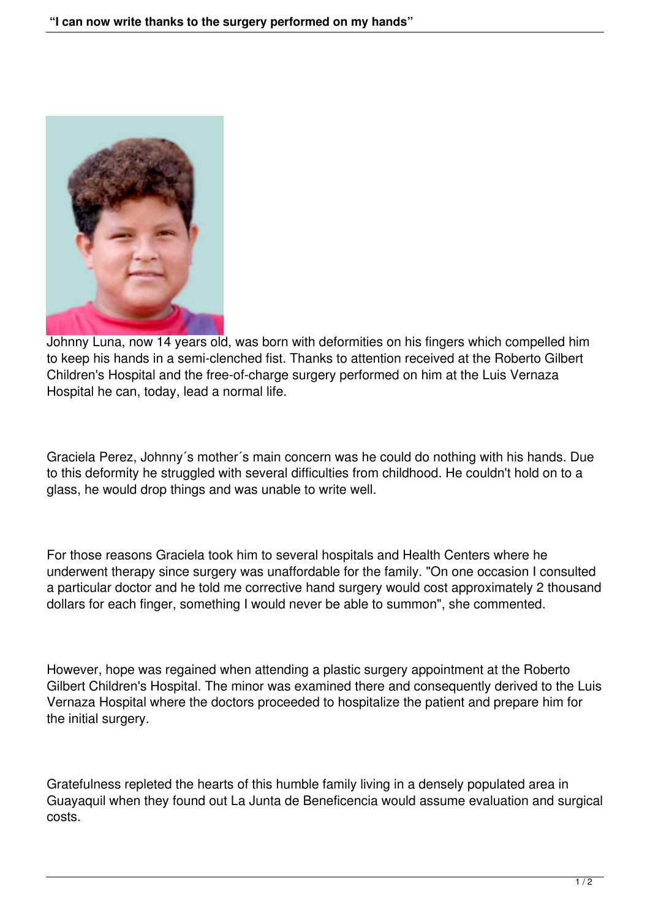

Johnny Luna, now 14 years old, was born with deformities on his fingers which compelled him to keep his hands in a semi-clenched fist. Thanks to attention received at the Roberto Gilbert Children's Hospital and the free-of-charge surgery performed on him at the Luis Vernaza Hospital he can, today, lead a normal life.

Graciela Perez, Johnny´s mother´s main concern was he could do nothing with his hands. Due to this deformity he struggled with several difficulties from childhood. He couldn't hold on to a glass, he would drop things and was unable to write well.

For those reasons Graciela took him to several hospitals and Health Centers where he underwent therapy since surgery was unaffordable for the family. "On one occasion I consulted a particular doctor and he told me corrective hand surgery would cost approximately 2 thousand dollars for each finger, something I would never be able to summon", she commented.

However, hope was regained when attending a plastic surgery appointment at the Roberto Gilbert Children's Hospital. The minor was examined there and consequently derived to the Luis Vernaza Hospital where the doctors proceeded to hospitalize the patient and prepare him for the initial surgery.

Gratefulness repleted the hearts of this humble family living in a densely populated area in Guayaquil when they found out La Junta de Beneficencia would assume evaluation and surgical costs.